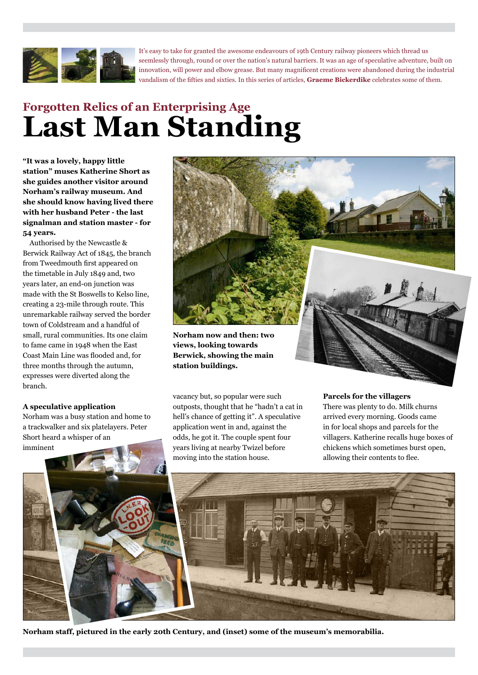

It's easy to take for granted the awesome endeavours of 19th Century railway pioneers which thread us seemlessly through, round or over the nation's natural barriers. It was an age of speculative adventure, built on innovation, will power and elbow grease. But many magnificent creations were abandoned during the industrial vandalism of the fifties and sixties. In this series of articles, **Graeme Bickerdike** celebrates some of them.

# **Forgotten Relics of an Enterprising Age Last Man Standing**

**"It was a lovely, happy little station" muses Katherine Short as she guides another visitor around Norham's railway museum. And she should know having lived there with her husband Peter - the last signalman and station master - for 54 years.**

Authorised by the Newcastle & Berwick Railway Act of 1845, the branch from Tweedmouth first appeared on the timetable in July 1849 and, two years later, an end-on junction was made with the St Boswells to Kelso line, creating a 23-mile through route. This unremarkable railway served the border town of Coldstream and a handful of small, rural communities. Its one claim to fame came in 1948 when the East Coast Main Line was flooded and, for three months through the autumn, expresses were diverted along the branch.

## **A speculative application**

Norham was a busy station and home to a trackwalker and six platelayers. Peter Short heard a whisper of an imminent



**views, looking towards Berwick, showing the main station buildings.**

vacancy but, so popular were such outposts, thought that he "hadn't a cat in hell's chance of getting it". A speculative application went in and, against the odds, he got it. The couple spent four years living at nearby Twizel before moving into the station house.

#### **Parcels for the villagers**

There was plenty to do. Milk churns arrived every morning. Goods came in for local shops and parcels for the villagers. Katherine recalls huge boxes of chickens which sometimes burst open, allowing their contents to flee.



**Norham staff, pictured in the early 20th Century, and (inset) some of the museum's memorabilia.**